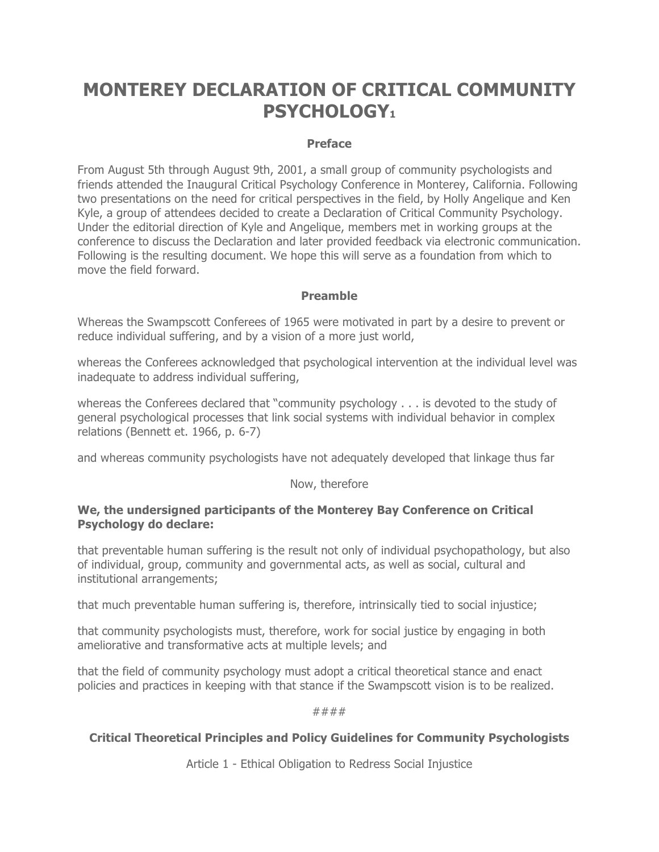# **MONTEREY DECLARATION OF CRITICAL COMMUNITY PSYCHOLOGY1**

## **Preface**

From August 5th through August 9th, 2001, a small group of community psychologists and friends attended the Inaugural Critical Psychology Conference in Monterey, California. Following two presentations on the need for critical perspectives in the field, by Holly Angelique and Ken Kyle, a group of attendees decided to create a Declaration of Critical Community Psychology. Under the editorial direction of Kyle and Angelique, members met in working groups at the conference to discuss the Declaration and later provided feedback via electronic communication. Following is the resulting document. We hope this will serve as a foundation from which to move the field forward.

## **Preamble**

Whereas the Swampscott Conferees of 1965 were motivated in part by a desire to prevent or reduce individual suffering, and by a vision of a more just world,

whereas the Conferees acknowledged that psychological intervention at the individual level was inadequate to address individual suffering,

whereas the Conferees declared that "community psychology . . . is devoted to the study of general psychological processes that link social systems with individual behavior in complex relations (Bennett et. 1966, p. 6-7)

and whereas community psychologists have not adequately developed that linkage thus far

## Now, therefore

## **We, the undersigned participants of the Monterey Bay Conference on Critical Psychology do declare:**

that preventable human suffering is the result not only of individual psychopathology, but also of individual, group, community and governmental acts, as well as social, cultural and institutional arrangements;

that much preventable human suffering is, therefore, intrinsically tied to social injustice;

that community psychologists must, therefore, work for social justice by engaging in both ameliorative and transformative acts at multiple levels; and

that the field of community psychology must adopt a critical theoretical stance and enact policies and practices in keeping with that stance if the Swampscott vision is to be realized.

#### ####

## **Critical Theoretical Principles and Policy Guidelines for Community Psychologists**

Article 1 - Ethical Obligation to Redress Social Injustice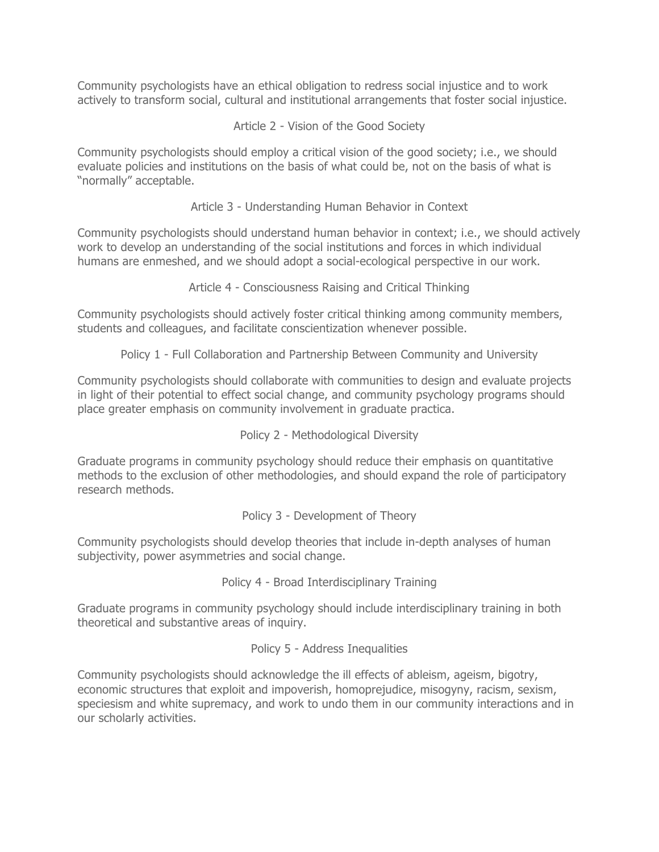Community psychologists have an ethical obligation to redress social injustice and to work actively to transform social, cultural and institutional arrangements that foster social injustice.

Article 2 - Vision of the Good Society

Community psychologists should employ a critical vision of the good society; i.e., we should evaluate policies and institutions on the basis of what could be, not on the basis of what is "normally" acceptable.

Article 3 - Understanding Human Behavior in Context

Community psychologists should understand human behavior in context; i.e., we should actively work to develop an understanding of the social institutions and forces in which individual humans are enmeshed, and we should adopt a social-ecological perspective in our work.

Article 4 - Consciousness Raising and Critical Thinking

Community psychologists should actively foster critical thinking among community members, students and colleagues, and facilitate conscientization whenever possible.

Policy 1 - Full Collaboration and Partnership Between Community and University

Community psychologists should collaborate with communities to design and evaluate projects in light of their potential to effect social change, and community psychology programs should place greater emphasis on community involvement in graduate practica.

Policy 2 - Methodological Diversity

Graduate programs in community psychology should reduce their emphasis on quantitative methods to the exclusion of other methodologies, and should expand the role of participatory research methods.

Policy 3 - Development of Theory

Community psychologists should develop theories that include in-depth analyses of human subjectivity, power asymmetries and social change.

Policy 4 - Broad Interdisciplinary Training

Graduate programs in community psychology should include interdisciplinary training in both theoretical and substantive areas of inquiry.

Policy 5 - Address Inequalities

Community psychologists should acknowledge the ill effects of ableism, ageism, bigotry, economic structures that exploit and impoverish, homoprejudice, misogyny, racism, sexism, speciesism and white supremacy, and work to undo them in our community interactions and in our scholarly activities.